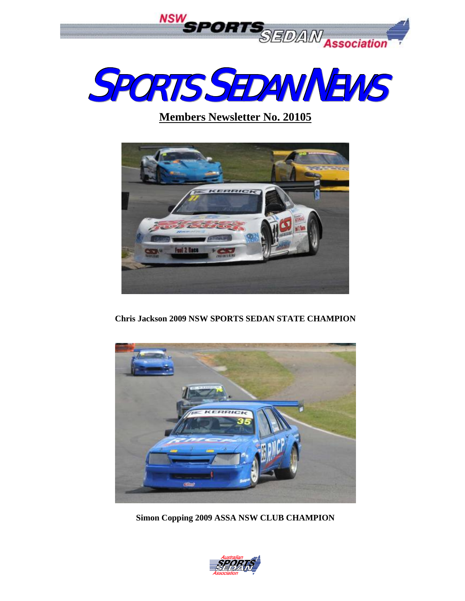



# **Members Newsletter No. 20105**



**Chris Jackson 2009 NSW SPORTS SEDAN STATE CHAMPION** 



**Simon Copping 2009 ASSA NSW CLUB CHAMPION** 

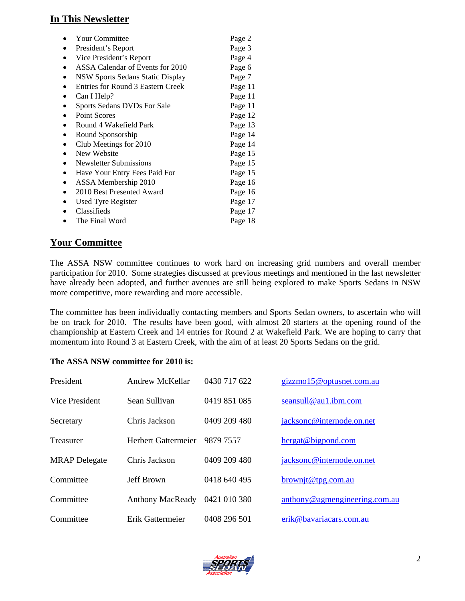#### **In This Newsletter**

| <b>Your Committee</b>             | Page 2  |
|-----------------------------------|---------|
| President's Report                | Page 3  |
| Vice President's Report           | Page 4  |
| ASSA Calendar of Events for 2010  | Page 6  |
| NSW Sports Sedans Static Display  | Page 7  |
| Entries for Round 3 Eastern Creek | Page 11 |
| Can I Help?                       | Page 11 |
| Sports Sedans DVDs For Sale       | Page 11 |
| <b>Point Scores</b>               | Page 12 |
| Round 4 Wakefield Park            | Page 13 |
| Round Sponsorship                 | Page 14 |
| Club Meetings for 2010            | Page 14 |
| New Website                       | Page 15 |
| Newsletter Submissions            | Page 15 |
| Have Your Entry Fees Paid For     | Page 15 |
| ASSA Membership 2010              | Page 16 |
| 2010 Best Presented Award         | Page 16 |
| <b>Used Tyre Register</b>         | Page 17 |
| Classifieds                       | Page 17 |
| The Final Word                    | Page 18 |
|                                   |         |

#### **Your Committee**

The ASSA NSW committee continues to work hard on increasing grid numbers and overall member participation for 2010. Some strategies discussed at previous meetings and mentioned in the last newsletter have already been adopted, and further avenues are still being explored to make Sports Sedans in NSW more competitive, more rewarding and more accessible.

The committee has been individually contacting members and Sports Sedan owners, to ascertain who will be on track for 2010. The results have been good, with almost 20 starters at the opening round of the championship at Eastern Creek and 14 entries for Round 2 at Wakefield Park. We are hoping to carry that momentum into Round 3 at Eastern Creek, with the aim of at least 20 Sports Sedans on the grid.

| The ASSA NSW committee for 2010 is: |  |  |  |
|-------------------------------------|--|--|--|
|                                     |  |  |  |

| President            | Andrew McKellar         | 0430 717 622 | gizzmo15@optusnet.com.au      |
|----------------------|-------------------------|--------------|-------------------------------|
| Vice President       | Sean Sullivan           | 0419 851 085 | seansull@au1.ibm.com          |
| Secretary            | Chris Jackson           | 0409 209 480 | jacksonc@internode.on.net     |
| Treasurer            | Herbert Gattermeier     | 9879 7557    | hergat@bigpond.com            |
| <b>MRAP</b> Delegate | Chris Jackson           | 0409 209 480 | jacksonc@internode.on.net     |
| Committee            | Jeff Brown              | 0418 640 495 | brownit@tpg.com.au            |
| Committee            | <b>Anthony MacReady</b> | 0421 010 380 | anthony@agmengineering.com.au |
| Committee            | Erik Gattermeier        | 0408 296 501 | erik@bavariacars.com.au       |

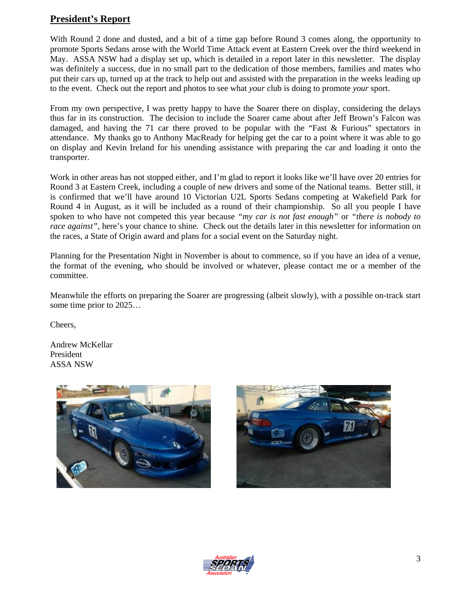#### **President's Report**

With Round 2 done and dusted, and a bit of a time gap before Round 3 comes along, the opportunity to promote Sports Sedans arose with the World Time Attack event at Eastern Creek over the third weekend in May. ASSA NSW had a display set up, which is detailed in a report later in this newsletter. The display was definitely a success, due in no small part to the dedication of those members, families and mates who put their cars up, turned up at the track to help out and assisted with the preparation in the weeks leading up to the event. Check out the report and photos to see what *your* club is doing to promote *your* sport.

From my own perspective, I was pretty happy to have the Soarer there on display, considering the delays thus far in its construction. The decision to include the Soarer came about after Jeff Brown's Falcon was damaged, and having the 71 car there proved to be popular with the "Fast & Furious" spectators in attendance. My thanks go to Anthony MacReady for helping get the car to a point where it was able to go on display and Kevin Ireland for his unending assistance with preparing the car and loading it onto the transporter.

Work in other areas has not stopped either, and I'm glad to report it looks like we'll have over 20 entries for Round 3 at Eastern Creek, including a couple of new drivers and some of the National teams. Better still, it is confirmed that we'll have around 10 Victorian U2L Sports Sedans competing at Wakefield Park for Round 4 in August, as it will be included as a round of their championship. So all you people I have spoken to who have not competed this year because *"my car is not fast enough"* or *"there is nobody to race against"*, here's your chance to shine. Check out the details later in this newsletter for information on the races, a State of Origin award and plans for a social event on the Saturday night.

Planning for the Presentation Night in November is about to commence, so if you have an idea of a venue, the format of the evening, who should be involved or whatever, please contact me or a member of the committee.

Meanwhile the efforts on preparing the Soarer are progressing (albeit slowly), with a possible on-track start some time prior to 2025…

Cheers,

Andrew McKellar President ASSA NSW





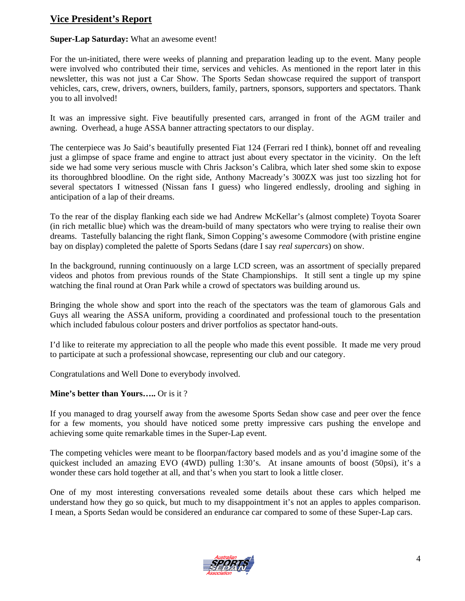#### **Vice President's Report**

#### **Super-Lap Saturday:** What an awesome event!

For the un-initiated, there were weeks of planning and preparation leading up to the event. Many people were involved who contributed their time, services and vehicles. As mentioned in the report later in this newsletter, this was not just a Car Show. The Sports Sedan showcase required the support of transport vehicles, cars, crew, drivers, owners, builders, family, partners, sponsors, supporters and spectators. Thank you to all involved!

It was an impressive sight. Five beautifully presented cars, arranged in front of the AGM trailer and awning. Overhead, a huge ASSA banner attracting spectators to our display.

The centerpiece was Jo Said's beautifully presented Fiat 124 (Ferrari red I think), bonnet off and revealing just a glimpse of space frame and engine to attract just about every spectator in the vicinity. On the left side we had some very serious muscle with Chris Jackson's Calibra, which later shed some skin to expose its thoroughbred bloodline. On the right side, Anthony Macready's 300ZX was just too sizzling hot for several spectators I witnessed (Nissan fans I guess) who lingered endlessly, drooling and sighing in anticipation of a lap of their dreams.

To the rear of the display flanking each side we had Andrew McKellar's (almost complete) Toyota Soarer (in rich metallic blue) which was the dream-build of many spectators who were trying to realise their own dreams. Tastefully balancing the right flank, Simon Copping's awesome Commodore (with pristine engine bay on display) completed the palette of Sports Sedans (dare I say *real supercars*) on show.

In the background, running continuously on a large LCD screen, was an assortment of specially prepared videos and photos from previous rounds of the State Championships. It still sent a tingle up my spine watching the final round at Oran Park while a crowd of spectators was building around us.

Bringing the whole show and sport into the reach of the spectators was the team of glamorous Gals and Guys all wearing the ASSA uniform, providing a coordinated and professional touch to the presentation which included fabulous colour posters and driver portfolios as spectator hand-outs.

I'd like to reiterate my appreciation to all the people who made this event possible. It made me very proud to participate at such a professional showcase, representing our club and our category.

Congratulations and Well Done to everybody involved.

#### **Mine's better than Yours…..** Or is it ?

If you managed to drag yourself away from the awesome Sports Sedan show case and peer over the fence for a few moments, you should have noticed some pretty impressive cars pushing the envelope and achieving some quite remarkable times in the Super-Lap event.

The competing vehicles were meant to be floorpan/factory based models and as you'd imagine some of the quickest included an amazing EVO (4WD) pulling 1:30's. At insane amounts of boost (50psi), it's a wonder these cars hold together at all, and that's when you start to look a little closer.

One of my most interesting conversations revealed some details about these cars which helped me understand how they go so quick, but much to my disappointment it's not an apples to apples comparison. I mean, a Sports Sedan would be considered an endurance car compared to some of these Super-Lap cars.

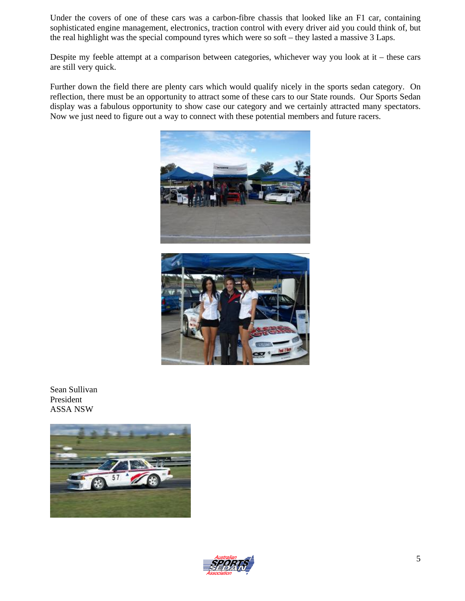Under the covers of one of these cars was a carbon-fibre chassis that looked like an F1 car, containing sophisticated engine management, electronics, traction control with every driver aid you could think of, but the real highlight was the special compound tyres which were so soft – they lasted a massive 3 Laps.

Despite my feeble attempt at a comparison between categories, whichever way you look at it – these cars are still very quick.

Further down the field there are plenty cars which would qualify nicely in the sports sedan category. On reflection, there must be an opportunity to attract some of these cars to our State rounds. Our Sports Sedan display was a fabulous opportunity to show case our category and we certainly attracted many spectators. Now we just need to figure out a way to connect with these potential members and future racers.





Sean Sullivan President ASSA NSW



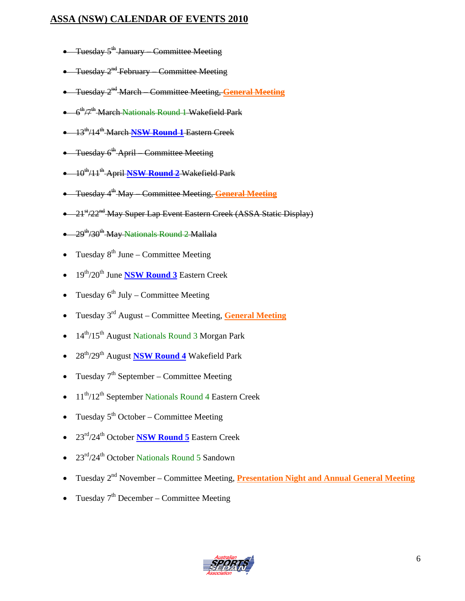#### **ASSA (NSW) CALENDAR OF EVENTS 2010**

- Tuesday  $5^{\text{th}}$  January Committee Meeting
- Tuesday 2<sup>nd</sup> February Committee Meeting
- Tuesday 2nd March Committee Meeting, **General Meeting**
- $\bullet$  6<sup>th</sup>/7<sup>th</sup> March Nationals Round 1 Wakefield Park
- 13th/14th March **NSW Round 1** Eastern Creek
- Tuesday 6<sup>th</sup> April Committee Meeting
- 10th/11th April **NSW Round 2** Wakefield Park
- Tuesday 4th May Committee Meeting, **General Meeting**
- 21<sup>st</sup>/22<sup>nd</sup> May Super Lap Event Eastern Creek (ASSA Static Display)
- $\bullet$  29<sup>th</sup>/30<sup>th</sup> May Nationals Round 2 Mallala
- Tuesday  $8^{th}$  June Committee Meeting
- 19th/20th June **NSW Round 3** Eastern Creek
- Tuesday  $6^{th}$  July Committee Meeting
- Tuesday 3rd August Committee Meeting, **General Meeting**
- 14<sup>th</sup>/15<sup>th</sup> August Nationals Round 3 Morgan Park
- 28th/29th August **NSW Round 4** Wakefield Park
- Tuesday  $7<sup>th</sup>$  September Committee Meeting
- 11<sup>th</sup>/12<sup>th</sup> September Nationals Round 4 Eastern Creek
- Tuesday  $5<sup>th</sup> October Committee Meeting$
- 23rd/24th October **NSW Round 5** Eastern Creek
- 23<sup>rd</sup>/24<sup>th</sup> October Nationals Round 5 Sandown
- Tuesday 2<sup>nd</sup> November Committee Meeting, **Presentation Night and Annual General Meeting**
- Tuesday  $7<sup>th</sup>$  December Committee Meeting

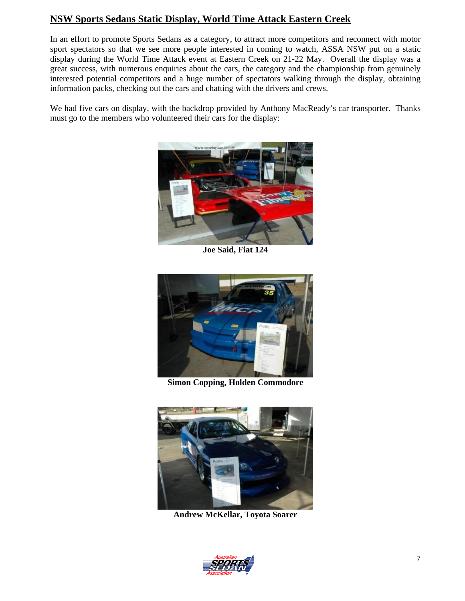#### **NSW Sports Sedans Static Display, World Time Attack Eastern Creek**

In an effort to promote Sports Sedans as a category, to attract more competitors and reconnect with motor sport spectators so that we see more people interested in coming to watch, ASSA NSW put on a static display during the World Time Attack event at Eastern Creek on 21-22 May. Overall the display was a great success, with numerous enquiries about the cars, the category and the championship from genuinely interested potential competitors and a huge number of spectators walking through the display, obtaining information packs, checking out the cars and chatting with the drivers and crews.

We had five cars on display, with the backdrop provided by Anthony MacReady's car transporter. Thanks must go to the members who volunteered their cars for the display:



**Joe Said, Fiat 124** 



**Simon Copping, Holden Commodore** 



**Andrew McKellar, Toyota Soarer** 

![](_page_6_Picture_9.jpeg)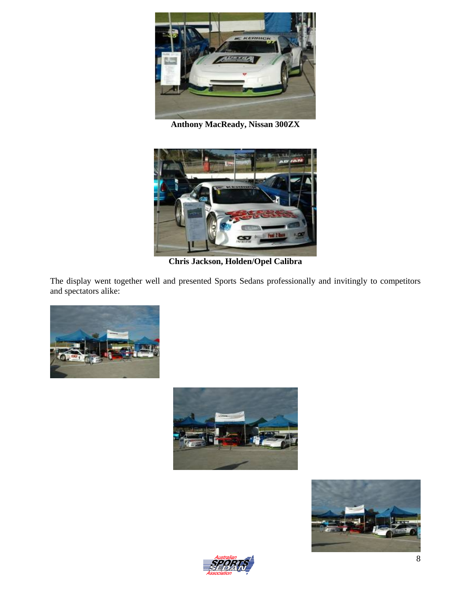![](_page_7_Picture_0.jpeg)

**Anthony MacReady, Nissan 300ZX** 

![](_page_7_Picture_2.jpeg)

**Chris Jackson, Holden/Opel Calibra**

The display went together well and presented Sports Sedans professionally and invitingly to competitors and spectators alike:

![](_page_7_Picture_5.jpeg)

![](_page_7_Picture_6.jpeg)

![](_page_7_Picture_7.jpeg)

![](_page_7_Picture_8.jpeg)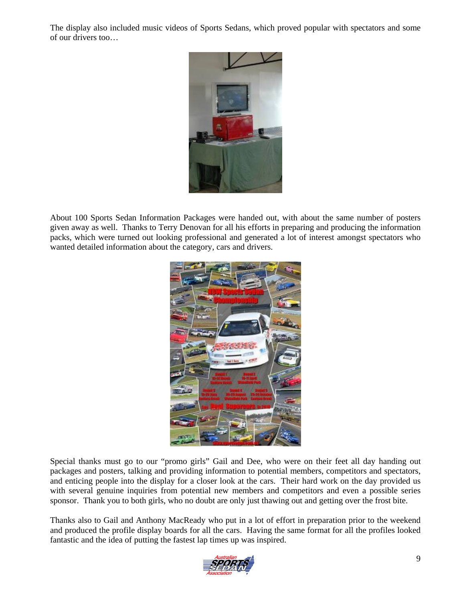The display also included music videos of Sports Sedans, which proved popular with spectators and some of our drivers too…

![](_page_8_Picture_1.jpeg)

About 100 Sports Sedan Information Packages were handed out, with about the same number of posters given away as well. Thanks to Terry Denovan for all his efforts in preparing and producing the information packs, which were turned out looking professional and generated a lot of interest amongst spectators who wanted detailed information about the category, cars and drivers.

![](_page_8_Picture_3.jpeg)

Special thanks must go to our "promo girls" Gail and Dee, who were on their feet all day handing out packages and posters, talking and providing information to potential members, competitors and spectators, and enticing people into the display for a closer look at the cars. Their hard work on the day provided us with several genuine inquiries from potential new members and competitors and even a possible series sponsor. Thank you to both girls, who no doubt are only just thawing out and getting over the frost bite.

Thanks also to Gail and Anthony MacReady who put in a lot of effort in preparation prior to the weekend and produced the profile display boards for all the cars. Having the same format for all the profiles looked fantastic and the idea of putting the fastest lap times up was inspired.

![](_page_8_Picture_6.jpeg)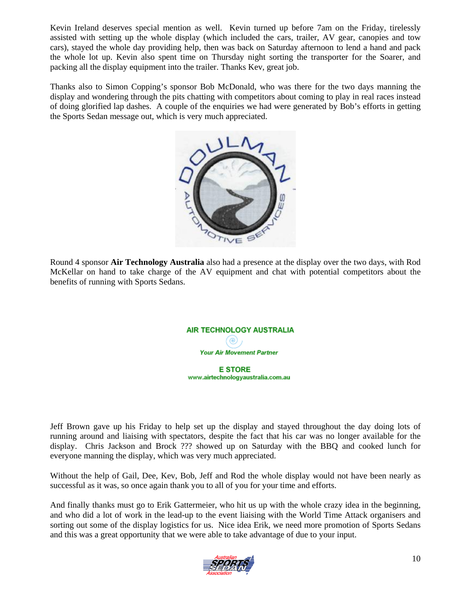Kevin Ireland deserves special mention as well. Kevin turned up before 7am on the Friday, tirelessly assisted with setting up the whole display (which included the cars, trailer, AV gear, canopies and tow cars), stayed the whole day providing help, then was back on Saturday afternoon to lend a hand and pack the whole lot up. Kevin also spent time on Thursday night sorting the transporter for the Soarer, and packing all the display equipment into the trailer. Thanks Kev, great job.

Thanks also to Simon Copping's sponsor Bob McDonald, who was there for the two days manning the display and wondering through the pits chatting with competitors about coming to play in real races instead of doing glorified lap dashes. A couple of the enquiries we had were generated by Bob's efforts in getting the Sports Sedan message out, which is very much appreciated.

![](_page_9_Picture_2.jpeg)

Round 4 sponsor **Air Technology Australia** also had a presence at the display over the two days, with Rod McKellar on hand to take charge of the AV equipment and chat with potential competitors about the benefits of running with Sports Sedans.

![](_page_9_Picture_4.jpeg)

www.airtechnologyaustralia.com.au

Jeff Brown gave up his Friday to help set up the display and stayed throughout the day doing lots of running around and liaising with spectators, despite the fact that his car was no longer available for the display. Chris Jackson and Brock ??? showed up on Saturday with the BBQ and cooked lunch for everyone manning the display, which was very much appreciated.

Without the help of Gail, Dee, Kev, Bob, Jeff and Rod the whole display would not have been nearly as successful as it was, so once again thank you to all of you for your time and efforts.

And finally thanks must go to Erik Gattermeier, who hit us up with the whole crazy idea in the beginning, and who did a lot of work in the lead-up to the event liaising with the World Time Attack organisers and sorting out some of the display logistics for us. Nice idea Erik, we need more promotion of Sports Sedans and this was a great opportunity that we were able to take advantage of due to your input.

![](_page_9_Picture_9.jpeg)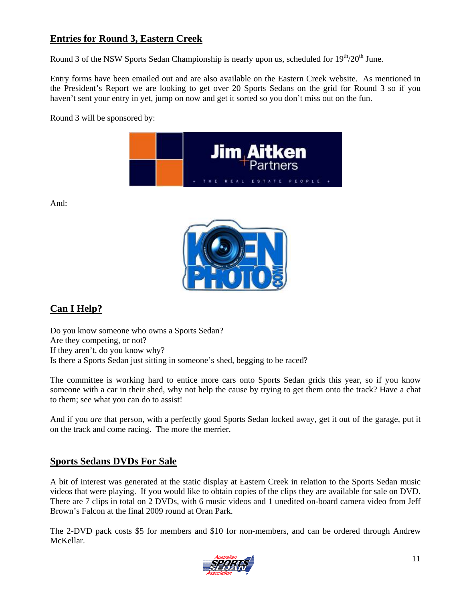#### **Entries for Round 3, Eastern Creek**

Round 3 of the NSW Sports Sedan Championship is nearly upon us, scheduled for  $19<sup>th</sup>/20<sup>th</sup>$  June.

Entry forms have been emailed out and are also available on the Eastern Creek website. As mentioned in the President's Report we are looking to get over 20 Sports Sedans on the grid for Round 3 so if you haven't sent your entry in yet, jump on now and get it sorted so you don't miss out on the fun.

Round 3 will be sponsored by:

![](_page_10_Picture_4.jpeg)

And:

![](_page_10_Picture_6.jpeg)

## **Can I Help?**

Do you know someone who owns a Sports Sedan? Are they competing, or not? If they aren't, do you know why? Is there a Sports Sedan just sitting in someone's shed, begging to be raced?

The committee is working hard to entice more cars onto Sports Sedan grids this year, so if you know someone with a car in their shed, why not help the cause by trying to get them onto the track? Have a chat to them; see what you can do to assist!

And if you *are* that person, with a perfectly good Sports Sedan locked away, get it out of the garage, put it on the track and come racing. The more the merrier.

#### **Sports Sedans DVDs For Sale**

A bit of interest was generated at the static display at Eastern Creek in relation to the Sports Sedan music videos that were playing. If you would like to obtain copies of the clips they are available for sale on DVD. There are 7 clips in total on 2 DVDs, with 6 music videos and 1 unedited on-board camera video from Jeff Brown's Falcon at the final 2009 round at Oran Park.

The 2-DVD pack costs \$5 for members and \$10 for non-members, and can be ordered through Andrew McKellar.

![](_page_10_Picture_14.jpeg)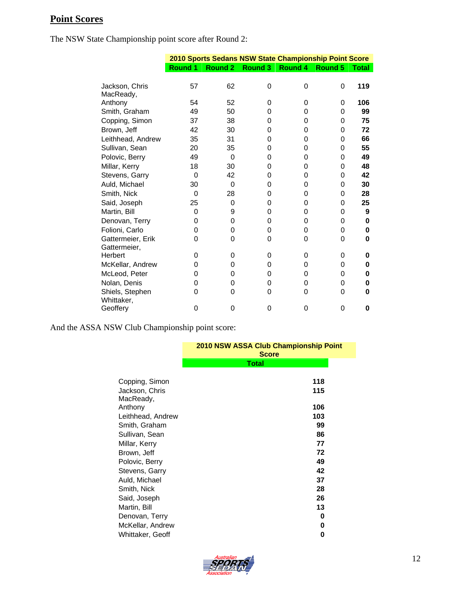# **Point Scores**

The NSW State Championship point score after Round 2:

|                                   |                |                | 2010 Sports Sedans NSW State Championship Point Score |         |                |              |
|-----------------------------------|----------------|----------------|-------------------------------------------------------|---------|----------------|--------------|
|                                   | <b>Round 1</b> | <b>Round 2</b> | Round 3                                               | Round 4 | <b>Round 5</b> | <b>Total</b> |
| Jackson, Chris<br>MacReady,       | 57             | 62             | 0                                                     | 0       | 0              | 119          |
| Anthony                           | 54             | 52             | 0                                                     | 0       | 0              | 106          |
| Smith, Graham                     | 49             | 50             | 0                                                     | 0       | 0              | 99           |
| Copping, Simon                    | 37             | 38             | 0                                                     | 0       | 0              | 75           |
| Brown, Jeff                       | 42             | 30             | 0                                                     | 0       | 0              | 72           |
| Leithhead, Andrew                 | 35             | 31             | 0                                                     | 0       | 0              | 66           |
| Sullivan, Sean                    | 20             | 35             | 0                                                     | 0       | 0              | 55           |
| Polovic, Berry                    | 49             | 0              | 0                                                     | 0       | 0              | 49           |
| Millar, Kerry                     | 18             | 30             | 0                                                     | 0       | 0              | 48           |
| Stevens, Garry                    | 0              | 42             | 0                                                     | 0       | 0              | 42           |
| Auld, Michael                     | 30             | 0              | 0                                                     | 0       | 0              | 30           |
| Smith, Nick                       | 0              | 28             | 0                                                     | 0       | 0              | 28           |
| Said, Joseph                      | 25             | 0              | 0                                                     | 0       | 0              | 25           |
| Martin, Bill                      | 0              | 9              | 0                                                     | 0       | 0              | 9            |
| Denovan, Terry                    | 0              | 0              | 0                                                     | 0       | 0              | 0            |
| Folioni, Carlo                    | 0              | 0              | 0                                                     | 0       | 0              | 0            |
| Gattermeier, Erik<br>Gattermeier, | 0              | 0              | 0                                                     | 0       | 0              | 0            |
| Herbert                           | 0              | 0              | 0                                                     | 0       | 0              | 0            |
| McKellar, Andrew                  | 0              | 0              | 0                                                     | 0       | 0              | 0            |
| McLeod, Peter                     | 0              | 0              | 0                                                     | 0       | 0              | 0            |
| Nolan, Denis                      | 0              | 0              | 0                                                     | 0       | 0              | 0            |
| Shiels, Stephen<br>Whittaker.     | 0              | 0              | 0                                                     | 0       | 0              | 0            |
| Geoffery                          | 0              | 0              | 0                                                     | 0       | 0              | 0            |

And the ASSA NSW Club Championship point score:

|                             | 2010 NSW ASSA Club Championship Point<br><b>Score</b> |  |
|-----------------------------|-------------------------------------------------------|--|
|                             | <b>Total</b>                                          |  |
| Copping, Simon              | 118                                                   |  |
| Jackson, Chris<br>MacReady, | 115                                                   |  |
| Anthony                     | 106                                                   |  |
| Leithhead, Andrew           | 103                                                   |  |
| Smith, Graham               | 99                                                    |  |
| Sullivan, Sean              | 86                                                    |  |
| Millar, Kerry               | 77                                                    |  |
| Brown, Jeff                 | 72                                                    |  |
| Polovic, Berry              | 49                                                    |  |
| Stevens, Garry              | 42                                                    |  |
| Auld, Michael               | 37                                                    |  |
| Smith, Nick                 | 28                                                    |  |
| Said, Joseph                | 26                                                    |  |
| Martin, Bill                | 13                                                    |  |
| Denovan, Terry              | 0                                                     |  |
| McKellar, Andrew            | 0                                                     |  |
| Whittaker, Geoff            | 0                                                     |  |

![](_page_11_Picture_5.jpeg)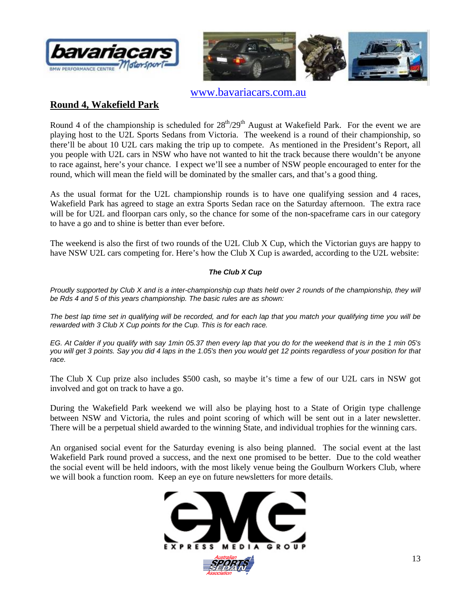![](_page_12_Picture_0.jpeg)

![](_page_12_Picture_1.jpeg)

www.bavariacars.com.au

#### **Round 4, Wakefield Park**

Round 4 of the championship is scheduled for  $28<sup>th</sup>/29<sup>th</sup>$  August at Wakefield Park. For the event we are playing host to the U2L Sports Sedans from Victoria. The weekend is a round of their championship, so there'll be about 10 U2L cars making the trip up to compete. As mentioned in the President's Report, all you people with U2L cars in NSW who have not wanted to hit the track because there wouldn't be anyone to race against, here's your chance. I expect we'll see a number of NSW people encouraged to enter for the round, which will mean the field will be dominated by the smaller cars, and that's a good thing.

As the usual format for the U2L championship rounds is to have one qualifying session and 4 races, Wakefield Park has agreed to stage an extra Sports Sedan race on the Saturday afternoon. The extra race will be for U2L and floorpan cars only, so the chance for some of the non-spaceframe cars in our category to have a go and to shine is better than ever before.

The weekend is also the first of two rounds of the U2L Club X Cup, which the Victorian guys are happy to have NSW U2L cars competing for. Here's how the Club X Cup is awarded, according to the U2L website:

#### *The Club X Cup*

*Proudly supported by Club X and is a inter-championship cup thats held over 2 rounds of the championship, they will be Rds 4 and 5 of this years championship. The basic rules are as shown:* 

*The best lap time set in qualifying will be recorded, and for each lap that you match your qualifying time you will be rewarded with 3 Club X Cup points for the Cup. This is for each race.* 

*EG. At Calder if you qualify with say 1min 05.37 then every lap that you do for the weekend that is in the 1 min 05's you will get 3 points. Say you did 4 laps in the 1.05's then you would get 12 points regardless of your position for that race.*

The Club X Cup prize also includes \$500 cash, so maybe it's time a few of our U2L cars in NSW got involved and got on track to have a go.

During the Wakefield Park weekend we will also be playing host to a State of Origin type challenge between NSW and Victoria, the rules and point scoring of which will be sent out in a later newsletter. There will be a perpetual shield awarded to the winning State, and individual trophies for the winning cars.

An organised social event for the Saturday evening is also being planned. The social event at the last Wakefield Park round proved a success, and the next one promised to be better. Due to the cold weather the social event will be held indoors, with the most likely venue being the Goulburn Workers Club, where we will book a function room. Keep an eye on future newsletters for more details.

![](_page_12_Picture_14.jpeg)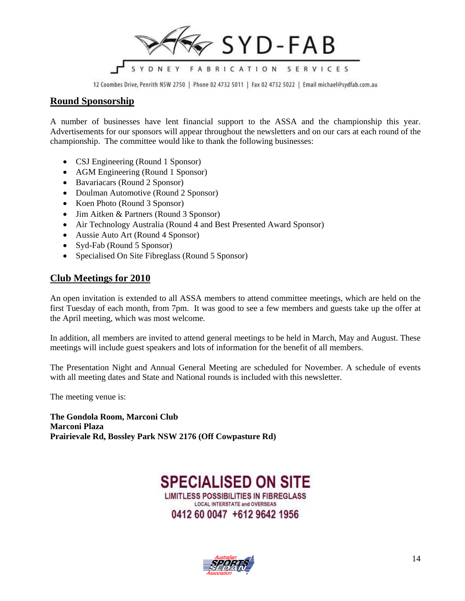![](_page_13_Picture_0.jpeg)

12 Coombes Drive, Penrith NSW 2750 | Phone 02 4732 5011 | Fax 02 4732 5022 | Email michael@sydfab.com.au

#### **Round Sponsorship**

A number of businesses have lent financial support to the ASSA and the championship this year. Advertisements for our sponsors will appear throughout the newsletters and on our cars at each round of the championship. The committee would like to thank the following businesses:

- CSJ Engineering (Round 1 Sponsor)
- AGM Engineering (Round 1 Sponsor)
- Bavariacars (Round 2 Sponsor)
- Doulman Automotive (Round 2 Sponsor)
- Koen Photo (Round 3 Sponsor)
- Jim Aitken & Partners (Round 3 Sponsor)
- Air Technology Australia (Round 4 and Best Presented Award Sponsor)
- Aussie Auto Art (Round 4 Sponsor)
- Syd-Fab (Round 5 Sponsor)
- Specialised On Site Fibreglass (Round 5 Sponsor)

#### **Club Meetings for 2010**

An open invitation is extended to all ASSA members to attend committee meetings, which are held on the first Tuesday of each month, from 7pm. It was good to see a few members and guests take up the offer at the April meeting, which was most welcome.

In addition, all members are invited to attend general meetings to be held in March, May and August. These meetings will include guest speakers and lots of information for the benefit of all members.

The Presentation Night and Annual General Meeting are scheduled for November. A schedule of events with all meeting dates and State and National rounds is included with this newsletter.

The meeting venue is:

**The Gondola Room, Marconi Club Marconi Plaza Prairievale Rd, Bossley Park NSW 2176 (Off Cowpasture Rd)**

### **SPECIALISED ON SITE LIMITLESS POSSIBILITIES IN FIBREGLASS LOCAL INTERSTATE and OVERSEAS** 0412 60 0047 +612 9642 1956

![](_page_13_Picture_21.jpeg)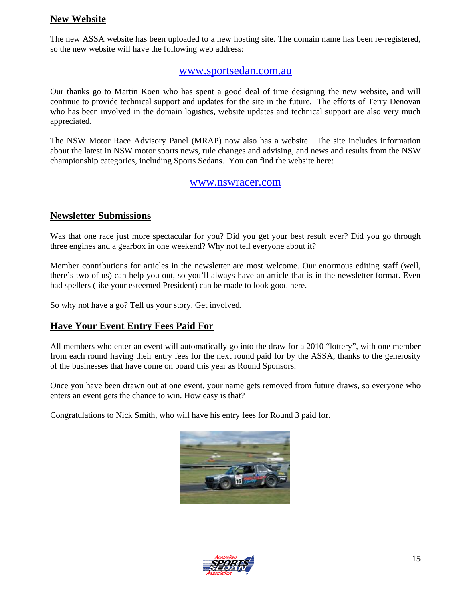#### **New Website**

The new ASSA website has been uploaded to a new hosting site. The domain name has been re-registered, so the new website will have the following web address:

#### www.sportsedan.com.au

Our thanks go to Martin Koen who has spent a good deal of time designing the new website, and will continue to provide technical support and updates for the site in the future. The efforts of Terry Denovan who has been involved in the domain logistics, website updates and technical support are also very much appreciated.

The NSW Motor Race Advisory Panel (MRAP) now also has a website. The site includes information about the latest in NSW motor sports news, rule changes and advising, and news and results from the NSW championship categories, including Sports Sedans. You can find the website here:

#### www.nswracer.com

#### **Newsletter Submissions**

Was that one race just more spectacular for you? Did you get your best result ever? Did you go through three engines and a gearbox in one weekend? Why not tell everyone about it?

Member contributions for articles in the newsletter are most welcome. Our enormous editing staff (well, there's two of us) can help you out, so you'll always have an article that is in the newsletter format. Even bad spellers (like your esteemed President) can be made to look good here.

So why not have a go? Tell us your story. Get involved.

#### **Have Your Event Entry Fees Paid For**

All members who enter an event will automatically go into the draw for a 2010 "lottery", with one member from each round having their entry fees for the next round paid for by the ASSA, thanks to the generosity of the businesses that have come on board this year as Round Sponsors.

Once you have been drawn out at one event, your name gets removed from future draws, so everyone who enters an event gets the chance to win. How easy is that?

Congratulations to Nick Smith, who will have his entry fees for Round 3 paid for.

![](_page_14_Picture_14.jpeg)

![](_page_14_Picture_15.jpeg)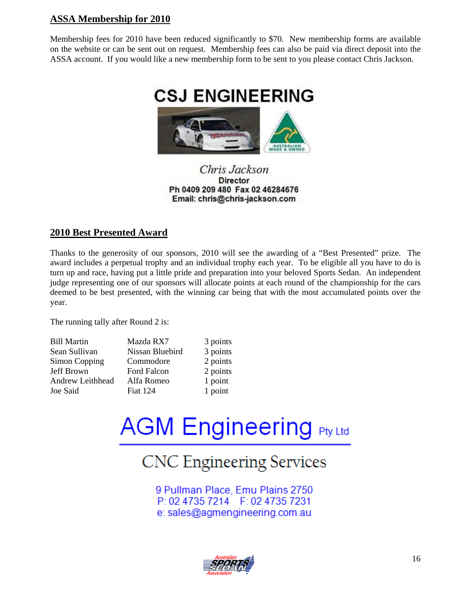#### **ASSA Membership for 2010**

Membership fees for 2010 have been reduced significantly to \$70. New membership forms are available on the website or can be sent out on request. Membership fees can also be paid via direct deposit into the ASSA account. If you would like a new membership form to be sent to you please contact Chris Jackson.

![](_page_15_Picture_2.jpeg)

#### Chris Jackson **Director** Ph 0409 209 480 Fax 02 46284676 Email: chris@chris-jackson.com

#### **2010 Best Presented Award**

Thanks to the generosity of our sponsors, 2010 will see the awarding of a "Best Presented" prize. The award includes a perpetual trophy and an individual trophy each year. To be eligible all you have to do is turn up and race, having put a little pride and preparation into your beloved Sports Sedan. An independent judge representing one of our sponsors will allocate points at each round of the championship for the cars deemed to be best presented, with the winning car being that with the most accumulated points over the year.

The running tally after Round 2 is:

| <b>Bill Martin</b> | Mazda RX          |
|--------------------|-------------------|
| Sean Sullivan      | Nissan Blu        |
| Simon Copping      | Commodo           |
| Jeff Brown         | <b>Ford Falco</b> |
| Andrew Leithhead   | Alfa Rome         |
| Joe Said           | <b>Fiat 124</b>   |

 $3$  points ebird 3 points  $\Gamma$  2 points  $p$ n 2 points eo 1 point 1 point

# **AGM Engineering Pty Ltd**

# **CNC Engineering Services**

9 Pullman Place, Emu Plains 2750 P: 02 4735 7214 F: 02 4735 7231 e: sales@agmengineering.com.au

![](_page_15_Picture_12.jpeg)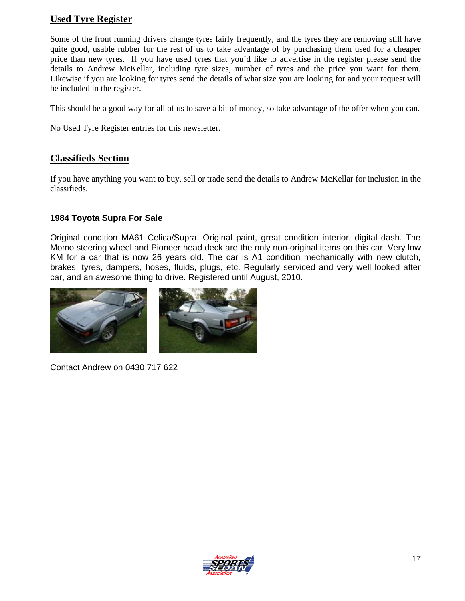#### **Used Tyre Register**

Some of the front running drivers change tyres fairly frequently, and the tyres they are removing still have quite good, usable rubber for the rest of us to take advantage of by purchasing them used for a cheaper price than new tyres. If you have used tyres that you'd like to advertise in the register please send the details to Andrew McKellar, including tyre sizes, number of tyres and the price you want for them. Likewise if you are looking for tyres send the details of what size you are looking for and your request will be included in the register.

This should be a good way for all of us to save a bit of money, so take advantage of the offer when you can.

No Used Tyre Register entries for this newsletter.

#### **Classifieds Section**

If you have anything you want to buy, sell or trade send the details to Andrew McKellar for inclusion in the classifieds.

#### **1984 Toyota Supra For Sale**

Original condition MA61 Celica/Supra. Original paint, great condition interior, digital dash. The Momo steering wheel and Pioneer head deck are the only non-original items on this car. Very low KM for a car that is now 26 years old. The car is A1 condition mechanically with new clutch, brakes, tyres, dampers, hoses, fluids, plugs, etc. Regularly serviced and very well looked after car, and an awesome thing to drive. Registered until August, 2010.

![](_page_16_Picture_8.jpeg)

Contact Andrew on 0430 717 622

![](_page_16_Picture_10.jpeg)